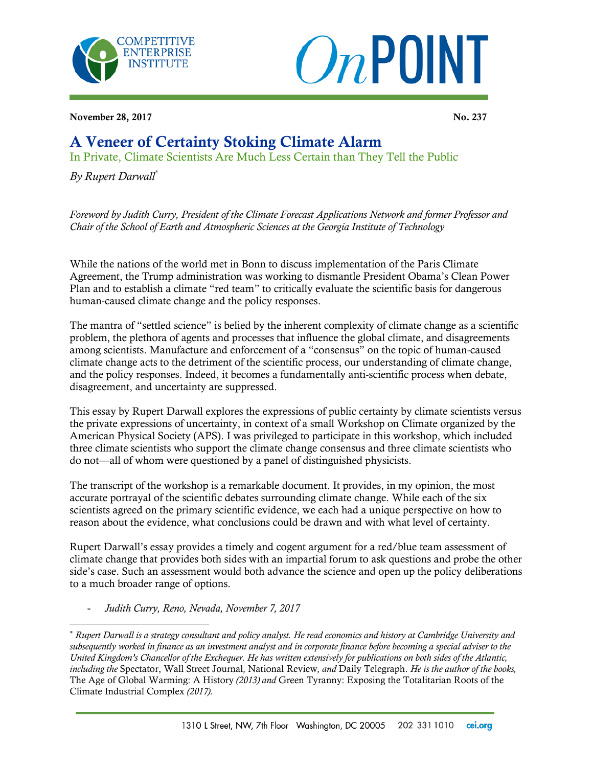



November 28, 2017 No. 237

## A Veneer of Certainty Stoking Climate Alarm

In Private, Climate Scientists Are Much Less Certain than They Tell the Public

*By Rupert Darwall\**

*Foreword by Judith Curry, President of the Climate Forecast Applications Network and former Professor and Chair of the School of Earth and Atmospheric Sciences at the Georgia Institute of Technology* 

While the nations of the world met in Bonn to discuss implementation of the Paris Climate Agreement, the Trump administration was working to dismantle President Obama's Clean Power Plan and to establish a climate "red team" to critically evaluate the scientific basis for dangerous human-caused climate change and the policy responses.

The mantra of "settled science" is belied by the inherent complexity of climate change as a scientific problem, the plethora of agents and processes that influence the global climate, and disagreements among scientists. Manufacture and enforcement of a "consensus" on the topic of human-caused climate change acts to the detriment of the scientific process, our understanding of climate change, and the policy responses. Indeed, it becomes a fundamentally anti-scientific process when debate, disagreement, and uncertainty are suppressed.

This essay by Rupert Darwall explores the expressions of public certainty by climate scientists versus the private expressions of uncertainty, in context of a small Workshop on Climate organized by the American Physical Society (APS). I was privileged to participate in this workshop, which included three climate scientists who support the climate change consensus and three climate scientists who do not—all of whom were questioned by a panel of distinguished physicists.

The transcript of the workshop is a remarkable document. It provides, in my opinion, the most accurate portrayal of the scientific debates surrounding climate change. While each of the six scientists agreed on the primary scientific evidence, we each had a unique perspective on how to reason about the evidence, what conclusions could be drawn and with what level of certainty.

Rupert Darwall's essay provides a timely and cogent argument for a red/blue team assessment of climate change that provides both sides with an impartial forum to ask questions and probe the other side's case. Such an assessment would both advance the science and open up the policy deliberations to a much broader range of options.

- *Judith Curry, Reno, Nevada, November 7, 2017*

 $\overline{a}$ 

Rupert Darwall is a strategy consultant and policy analyst. He read economics and history at Cambridge University and subsequently worked in finance as an investment analyst and in corporate finance before becoming a special adviser to the United Kingdom's Chancellor of the Exchequer. He has written extensively for publications on both sides of the Atlantic, *including the* Spectator, Wall Street Journal*,* National Review*, and* Daily Telegraph. *He is the author of the books,* The Age of Global Warming: A History *(2013) and* Green Tyranny: Exposing the Totalitarian Roots of the Climate Industrial Complex *(2017).*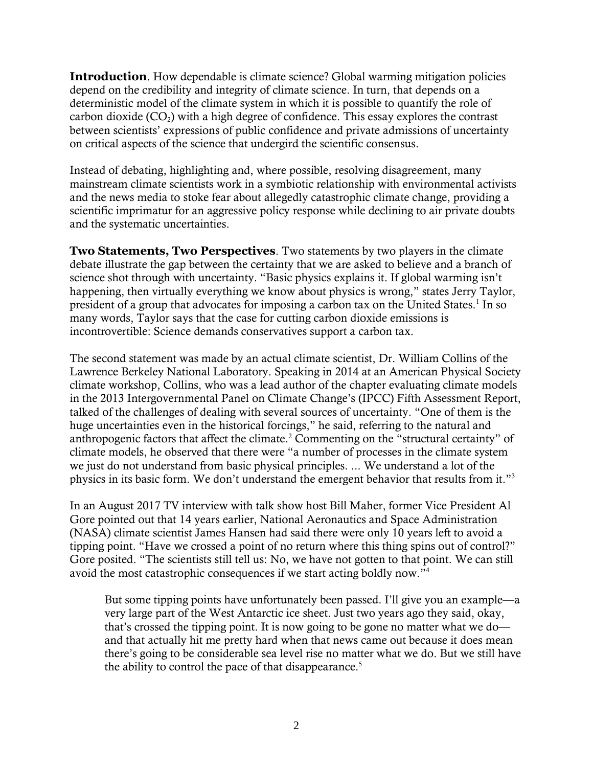**Introduction**. How dependable is climate science? Global warming mitigation policies depend on the credibility and integrity of climate science. In turn, that depends on a deterministic model of the climate system in which it is possible to quantify the role of carbon dioxide  $(CO_2)$  with a high degree of confidence. This essay explores the contrast between scientists' expressions of public confidence and private admissions of uncertainty on critical aspects of the science that undergird the scientific consensus.

Instead of debating, highlighting and, where possible, resolving disagreement, many mainstream climate scientists work in a symbiotic relationship with environmental activists and the news media to stoke fear about allegedly catastrophic climate change, providing a scientific imprimatur for an aggressive policy response while declining to air private doubts and the systematic uncertainties.

**Two Statements, Two Perspectives**. Two statements by two players in the climate debate illustrate the gap between the certainty that we are asked to believe and a branch of science shot through with uncertainty. "Basic physics explains it. If global warming isn't happening, then virtually everything we know about physics is wrong," states Jerry Taylor, president of a group that advocates for imposing a carbon tax on the United States.<sup>1</sup> In so many words, Taylor says that the case for cutting carbon dioxide emissions is incontrovertible: Science demands conservatives support a carbon tax.

The second statement was made by an actual climate scientist, Dr. William Collins of the Lawrence Berkeley National Laboratory. Speaking in 2014 at an American Physical Society climate workshop, Collins, who was a lead author of the chapter evaluating climate models in the 2013 Intergovernmental Panel on Climate Change's (IPCC) Fifth Assessment Report, talked of the challenges of dealing with several sources of uncertainty. "One of them is the huge uncertainties even in the historical forcings," he said, referring to the natural and anthropogenic factors that affect the climate.<sup>2</sup> Commenting on the "structural certainty" of climate models, he observed that there were "a number of processes in the climate system we just do not understand from basic physical principles. ... We understand a lot of the physics in its basic form. We don't understand the emergent behavior that results from it."<sup>3</sup>

In an August 2017 TV interview with talk show host Bill Maher, former Vice President Al Gore pointed out that 14 years earlier, National Aeronautics and Space Administration (NASA) climate scientist James Hansen had said there were only 10 years left to avoid a tipping point. "Have we crossed a point of no return where this thing spins out of control?" Gore posited. "The scientists still tell us: No, we have not gotten to that point. We can still avoid the most catastrophic consequences if we start acting boldly now."<sup>4</sup>

But some tipping points have unfortunately been passed. I'll give you an example—a very large part of the West Antarctic ice sheet. Just two years ago they said, okay, that's crossed the tipping point. It is now going to be gone no matter what we do and that actually hit me pretty hard when that news came out because it does mean there's going to be considerable sea level rise no matter what we do. But we still have the ability to control the pace of that disappearance.<sup>5</sup>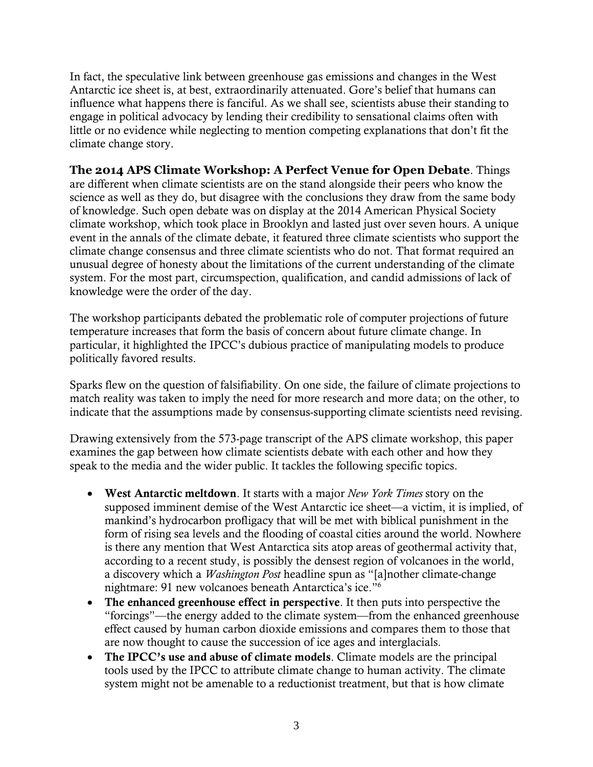In fact, the speculative link between greenhouse gas emissions and changes in the West Antarctic ice sheet is, at best, extraordinarily attenuated. Gore's belief that humans can influence what happens there is fanciful. As we shall see, scientists abuse their standing to engage in political advocacy by lending their credibility to sensational claims often with little or no evidence while neglecting to mention competing explanations that don't fit the climate change story.

**The 2014 APS Climate Workshop: A Perfect Venue for Open Debate**. Things are different when climate scientists are on the stand alongside their peers who know the science as well as they do, but disagree with the conclusions they draw from the same body of knowledge. Such open debate was on display at the 2014 American Physical Society climate workshop, which took place in Brooklyn and lasted just over seven hours. A unique event in the annals of the climate debate, it featured three climate scientists who support the climate change consensus and three climate scientists who do not. That format required an unusual degree of honesty about the limitations of the current understanding of the climate system. For the most part, circumspection, qualification, and candid admissions of lack of knowledge were the order of the day.

The workshop participants debated the problematic role of computer projections of future temperature increases that form the basis of concern about future climate change. In particular, it highlighted the IPCC's dubious practice of manipulating models to produce politically favored results.

Sparks flew on the question of falsifiability. On one side, the failure of climate projections to match reality was taken to imply the need for more research and more data; on the other, to indicate that the assumptions made by consensus-supporting climate scientists need revising.

Drawing extensively from the 573-page transcript of the APS climate workshop, this paper examines the gap between how climate scientists debate with each other and how they speak to the media and the wider public. It tackles the following specific topics.

- West Antarctic meltdown. It starts with a major *New York Times* story on the supposed imminent demise of the West Antarctic ice sheet—a victim, it is implied, of mankind's hydrocarbon profligacy that will be met with biblical punishment in the form of rising sea levels and the flooding of coastal cities around the world. Nowhere is there any mention that West Antarctica sits atop areas of geothermal activity that, according to a recent study, is possibly the densest region of volcanoes in the world, a discovery which a *Washington Post* headline spun as "[a]nother climate-change nightmare: 91 new volcanoes beneath Antarctica's ice."<sup>6</sup>
- The enhanced greenhouse effect in perspective. It then puts into perspective the "forcings"—the energy added to the climate system—from the enhanced greenhouse effect caused by human carbon dioxide emissions and compares them to those that are now thought to cause the succession of ice ages and interglacials.
- The IPCC's use and abuse of climate models. Climate models are the principal tools used by the IPCC to attribute climate change to human activity. The climate system might not be amenable to a reductionist treatment, but that is how climate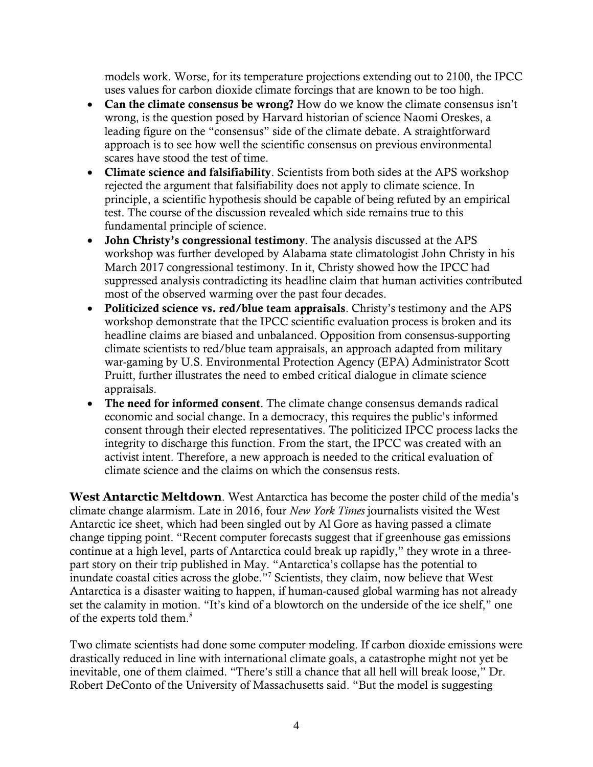models work. Worse, for its temperature projections extending out to 2100, the IPCC uses values for carbon dioxide climate forcings that are known to be too high.

- Can the climate consensus be wrong? How do we know the climate consensus isn't wrong, is the question posed by Harvard historian of science Naomi Oreskes, a leading figure on the "consensus" side of the climate debate. A straightforward approach is to see how well the scientific consensus on previous environmental scares have stood the test of time.
- Climate science and falsifiability. Scientists from both sides at the APS workshop rejected the argument that falsifiability does not apply to climate science. In principle, a scientific hypothesis should be capable of being refuted by an empirical test. The course of the discussion revealed which side remains true to this fundamental principle of science.
- John Christy's congressional testimony. The analysis discussed at the APS workshop was further developed by Alabama state climatologist John Christy in his March 2017 congressional testimony. In it, Christy showed how the IPCC had suppressed analysis contradicting its headline claim that human activities contributed most of the observed warming over the past four decades.
- Politicized science vs. red/blue team appraisals. Christy's testimony and the APS workshop demonstrate that the IPCC scientific evaluation process is broken and its headline claims are biased and unbalanced. Opposition from consensus-supporting climate scientists to red/blue team appraisals, an approach adapted from military war-gaming by U.S. Environmental Protection Agency (EPA) Administrator Scott Pruitt, further illustrates the need to embed critical dialogue in climate science appraisals.
- The need for informed consent. The climate change consensus demands radical economic and social change. In a democracy, this requires the public's informed consent through their elected representatives. The politicized IPCC process lacks the integrity to discharge this function. From the start, the IPCC was created with an activist intent. Therefore, a new approach is needed to the critical evaluation of climate science and the claims on which the consensus rests.

**West Antarctic Meltdown**. West Antarctica has become the poster child of the media's climate change alarmism. Late in 2016, four *New York Times* journalists visited the West Antarctic ice sheet, which had been singled out by Al Gore as having passed a climate change tipping point. "Recent computer forecasts suggest that if greenhouse gas emissions continue at a high level, parts of Antarctica could break up rapidly," they wrote in a threepart story on their trip published in May. "Antarctica's collapse has the potential to inundate coastal cities across the globe."<sup>7</sup> Scientists, they claim, now believe that West Antarctica is a disaster waiting to happen, if human-caused global warming has not already set the calamity in motion. "It's kind of a blowtorch on the underside of the ice shelf," one of the experts told them.<sup>8</sup>

Two climate scientists had done some computer modeling. If carbon dioxide emissions were drastically reduced in line with international climate goals, a catastrophe might not yet be inevitable, one of them claimed. "There's still a chance that all hell will break loose," Dr. Robert DeConto of the University of Massachusetts said. "But the model is suggesting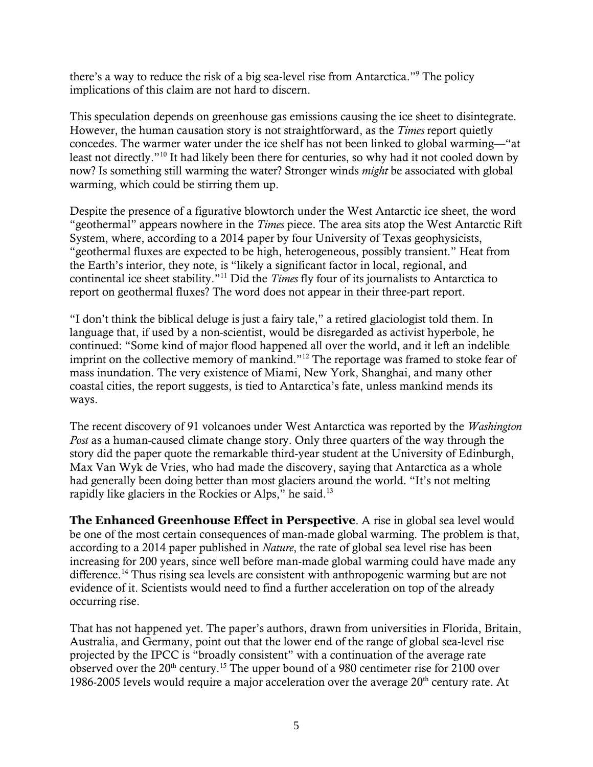there's a way to reduce the risk of a big sea-level rise from Antarctica."<sup>9</sup> The policy implications of this claim are not hard to discern.

This speculation depends on greenhouse gas emissions causing the ice sheet to disintegrate. However, the human causation story is not straightforward, as the *Times* report quietly concedes. The warmer water under the ice shelf has not been linked to global warming—"at least not directly."<sup>10</sup> It had likely been there for centuries, so why had it not cooled down by now? Is something still warming the water? Stronger winds *might* be associated with global warming, which could be stirring them up.

Despite the presence of a figurative blowtorch under the West Antarctic ice sheet, the word "geothermal" appears nowhere in the *Times* piece. The area sits atop the West Antarctic Rift System, where, according to a 2014 paper by four University of Texas geophysicists, "geothermal fluxes are expected to be high, heterogeneous, possibly transient." Heat from the Earth's interior, they note, is "likely a significant factor in local, regional, and continental ice sheet stability."<sup>11</sup> Did the *Times* fly four of its journalists to Antarctica to report on geothermal fluxes? The word does not appear in their three-part report.

"I don't think the biblical deluge is just a fairy tale," a retired glaciologist told them. In language that, if used by a non-scientist, would be disregarded as activist hyperbole, he continued: "Some kind of major flood happened all over the world, and it left an indelible imprint on the collective memory of mankind."<sup>12</sup> The reportage was framed to stoke fear of mass inundation. The very existence of Miami, New York, Shanghai, and many other coastal cities, the report suggests, is tied to Antarctica's fate, unless mankind mends its ways.

The recent discovery of 91 volcanoes under West Antarctica was reported by the *Washington Post* as a human-caused climate change story. Only three quarters of the way through the story did the paper quote the remarkable third-year student at the University of Edinburgh, Max Van Wyk de Vries, who had made the discovery, saying that Antarctica as a whole had generally been doing better than most glaciers around the world. "It's not melting rapidly like glaciers in the Rockies or Alps," he said.<sup>13</sup>

**The Enhanced Greenhouse Effect in Perspective**. A rise in global sea level would be one of the most certain consequences of man-made global warming. The problem is that, according to a 2014 paper published in *Nature*, the rate of global sea level rise has been increasing for 200 years, since well before man-made global warming could have made any difference.<sup>14</sup> Thus rising sea levels are consistent with anthropogenic warming but are not evidence of it. Scientists would need to find a further acceleration on top of the already occurring rise.

That has not happened yet. The paper's authors, drawn from universities in Florida, Britain, Australia, and Germany, point out that the lower end of the range of global sea-level rise projected by the IPCC is "broadly consistent" with a continuation of the average rate observed over the  $20<sup>th</sup>$  century.<sup>15</sup> The upper bound of a 980 centimeter rise for 2100 over 1986-2005 levels would require a major acceleration over the average  $20<sup>th</sup>$  century rate. At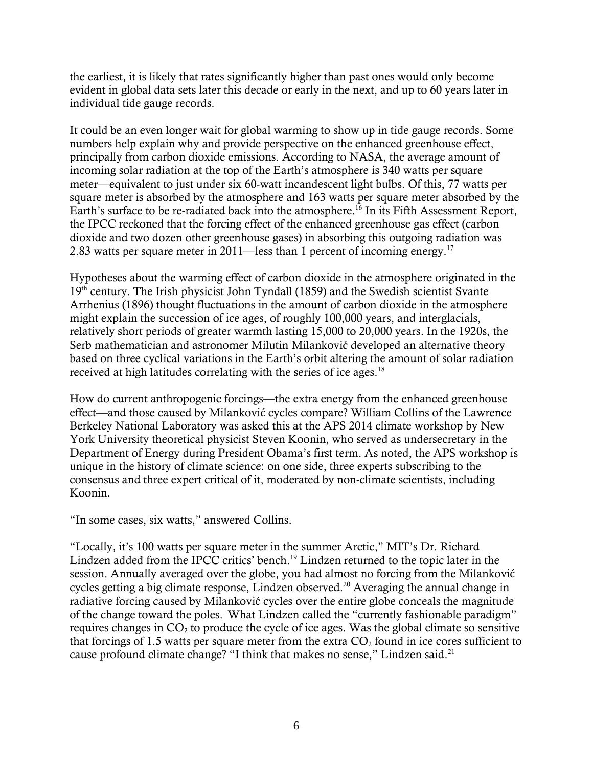the earliest, it is likely that rates significantly higher than past ones would only become evident in global data sets later this decade or early in the next, and up to 60 years later in individual tide gauge records.

It could be an even longer wait for global warming to show up in tide gauge records. Some numbers help explain why and provide perspective on the enhanced greenhouse effect, principally from carbon dioxide emissions. According to NASA, the average amount of incoming solar radiation at the top of the Earth's atmosphere is 340 watts per square meter—equivalent to just under six 60-watt incandescent light bulbs. Of this, 77 watts per square meter is absorbed by the atmosphere and 163 watts per square meter absorbed by the Earth's surface to be re-radiated back into the atmosphere.<sup>16</sup> In its Fifth Assessment Report, the IPCC reckoned that the forcing effect of the enhanced greenhouse gas effect (carbon dioxide and two dozen other greenhouse gases) in absorbing this outgoing radiation was 2.83 watts per square meter in 2011—less than 1 percent of incoming energy.<sup>17</sup>

Hypotheses about the warming effect of carbon dioxide in the atmosphere originated in the  $19<sup>th</sup>$  century. The Irish physicist John Tyndall (1859) and the Swedish scientist Svante Arrhenius (1896) thought fluctuations in the amount of carbon dioxide in the atmosphere might explain the succession of ice ages, of roughly 100,000 years, and interglacials, relatively short periods of greater warmth lasting 15,000 to 20,000 years. In the 1920s, the Serb mathematician and astronomer Milutin Milanković developed an alternative theory based on three cyclical variations in the Earth's orbit altering the amount of solar radiation received at high latitudes correlating with the series of ice ages.<sup>18</sup>

How do current anthropogenic forcings—the extra energy from the enhanced greenhouse effect—and those caused by Milanković cycles compare? William Collins of the Lawrence Berkeley National Laboratory was asked this at the APS 2014 climate workshop by New York University theoretical physicist Steven Koonin, who served as undersecretary in the Department of Energy during President Obama's first term. As noted, the APS workshop is unique in the history of climate science: on one side, three experts subscribing to the consensus and three expert critical of it, moderated by non-climate scientists, including Koonin.

"In some cases, six watts," answered Collins.

"Locally, it's 100 watts per square meter in the summer Arctic," MIT's Dr. Richard Lindzen added from the IPCC critics' bench.<sup>19</sup> Lindzen returned to the topic later in the session. Annually averaged over the globe, you had almost no forcing from the Milanković cycles getting a big climate response, Lindzen observed.<sup>20</sup> Averaging the annual change in radiative forcing caused by Milanković cycles over the entire globe conceals the magnitude of the change toward the poles. What Lindzen called the "currently fashionable paradigm" requires changes in  $CO<sub>2</sub>$  to produce the cycle of ice ages. Was the global climate so sensitive that forcings of 1.5 watts per square meter from the extra  $CO<sub>2</sub>$  found in ice cores sufficient to cause profound climate change? "I think that makes no sense," Lindzen said.<sup>21</sup>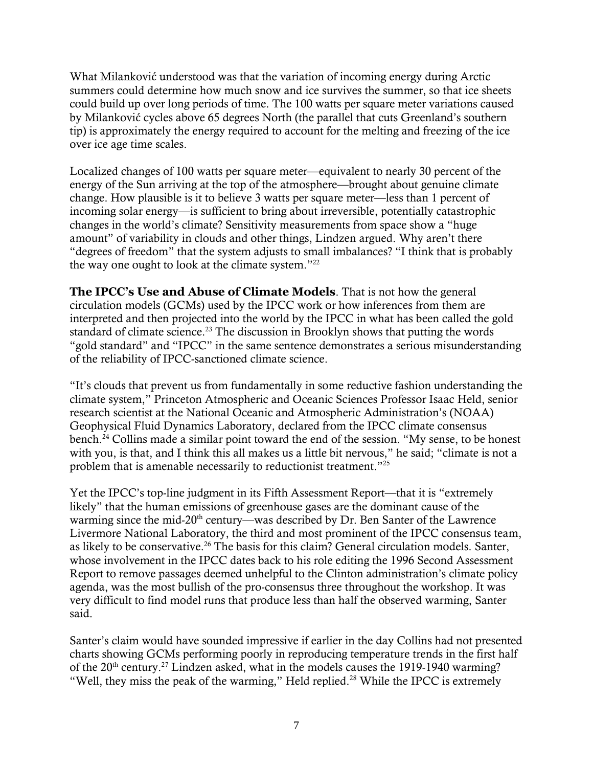What Milanković understood was that the variation of incoming energy during Arctic summers could determine how much snow and ice survives the summer, so that ice sheets could build up over long periods of time. The 100 watts per square meter variations caused by Milanković cycles above 65 degrees North (the parallel that cuts Greenland's southern tip) is approximately the energy required to account for the melting and freezing of the ice over ice age time scales.

Localized changes of 100 watts per square meter—equivalent to nearly 30 percent of the energy of the Sun arriving at the top of the atmosphere—brought about genuine climate change. How plausible is it to believe 3 watts per square meter—less than 1 percent of incoming solar energy—is sufficient to bring about irreversible, potentially catastrophic changes in the world's climate? Sensitivity measurements from space show a "huge amount" of variability in clouds and other things, Lindzen argued. Why aren't there "degrees of freedom" that the system adjusts to small imbalances? "I think that is probably the way one ought to look at the climate system."<sup>22</sup>

**The IPCC's Use and Abuse of Climate Models**. That is not how the general circulation models (GCMs) used by the IPCC work or how inferences from them are interpreted and then projected into the world by the IPCC in what has been called the gold standard of climate science.<sup>23</sup> The discussion in Brooklyn shows that putting the words "gold standard" and "IPCC" in the same sentence demonstrates a serious misunderstanding of the reliability of IPCC-sanctioned climate science.

"It's clouds that prevent us from fundamentally in some reductive fashion understanding the climate system," Princeton Atmospheric and Oceanic Sciences Professor Isaac Held, senior research scientist at the National Oceanic and Atmospheric Administration's (NOAA) Geophysical Fluid Dynamics Laboratory, declared from the IPCC climate consensus bench.<sup>24</sup> Collins made a similar point toward the end of the session. "My sense, to be honest with you, is that, and I think this all makes us a little bit nervous," he said; "climate is not a problem that is amenable necessarily to reductionist treatment."<sup>25</sup>

Yet the IPCC's top-line judgment in its Fifth Assessment Report—that it is "extremely likely" that the human emissions of greenhouse gases are the dominant cause of the warming since the mid-20<sup>th</sup> century—was described by Dr. Ben Santer of the Lawrence Livermore National Laboratory, the third and most prominent of the IPCC consensus team, as likely to be conservative.<sup>26</sup> The basis for this claim? General circulation models. Santer, whose involvement in the IPCC dates back to his role editing the 1996 Second Assessment Report to remove passages deemed unhelpful to the Clinton administration's climate policy agenda, was the most bullish of the pro-consensus three throughout the workshop. It was very difficult to find model runs that produce less than half the observed warming, Santer said.

Santer's claim would have sounded impressive if earlier in the day Collins had not presented charts showing GCMs performing poorly in reproducing temperature trends in the first half of the  $20<sup>th</sup>$  century.<sup>27</sup> Lindzen asked, what in the models causes the 1919-1940 warming? "Well, they miss the peak of the warming," Held replied.<sup>28</sup> While the IPCC is extremely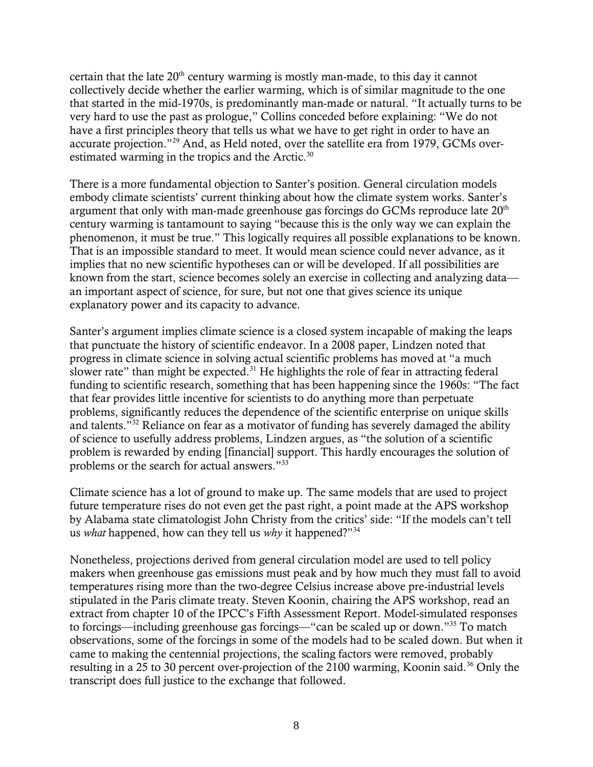certain that the late  $20<sup>th</sup>$  century warming is mostly man-made, to this day it cannot collectively decide whether the earlier warming, which is of similar magnitude to the one that started in the mid-1970s, is predominantly man-made or natural. "It actually turns to be very hard to use the past as prologue," Collins conceded before explaining: "We do not have a first principles theory that tells us what we have to get right in order to have an accurate projection."<sup>29</sup> And, as Held noted, over the satellite era from 1979, GCMs overestimated warming in the tropics and the Arctic.<sup>30</sup>

There is a more fundamental objection to Santer's position. General circulation models embody climate scientists' current thinking about how the climate system works. Santer's argument that only with man-made greenhouse gas forcings do GCMs reproduce late  $20<sup>th</sup>$ century warming is tantamount to saying "because this is the only way we can explain the phenomenon, it must be true." This logically requires all possible explanations to be known. That is an impossible standard to meet. It would mean science could never advance, as it implies that no new scientific hypotheses can or will be developed. If all possibilities are known from the start, science becomes solely an exercise in collecting and analyzing data an important aspect of science, for sure, but not one that gives science its unique explanatory power and its capacity to advance.

Santer's argument implies climate science is a closed system incapable of making the leaps that punctuate the history of scientific endeavor. In a 2008 paper, Lindzen noted that progress in climate science in solving actual scientific problems has moved at "a much slower rate" than might be expected.<sup>31</sup> He highlights the role of fear in attracting federal funding to scientific research, something that has been happening since the 1960s: "The fact that fear provides little incentive for scientists to do anything more than perpetuate problems, significantly reduces the dependence of the scientific enterprise on unique skills and talents."<sup>32</sup> Reliance on fear as a motivator of funding has severely damaged the ability of science to usefully address problems, Lindzen argues, as "the solution of a scientific problem is rewarded by ending [financial] support. This hardly encourages the solution of problems or the search for actual answers."<sup>33</sup>

Climate science has a lot of ground to make up. The same models that are used to project future temperature rises do not even get the past right, a point made at the APS workshop by Alabama state climatologist John Christy from the critics' side: "If the models can't tell us *what* happened, how can they tell us *why* it happened?"<sup>34</sup>

Nonetheless, projections derived from general circulation model are used to tell policy makers when greenhouse gas emissions must peak and by how much they must fall to avoid temperatures rising more than the two-degree Celsius increase above pre-industrial levels stipulated in the Paris climate treaty. Steven Koonin, chairing the APS workshop, read an extract from chapter 10 of the IPCC's Fifth Assessment Report. Model-simulated responses to forcings—including greenhouse gas forcings—"can be scaled up or down."<sup>35</sup> To match observations, some of the forcings in some of the models had to be scaled down. But when it came to making the centennial projections, the scaling factors were removed, probably resulting in a 25 to 30 percent over-projection of the 2100 warming. Koonin said.<sup>36</sup> Only the transcript does full justice to the exchange that followed.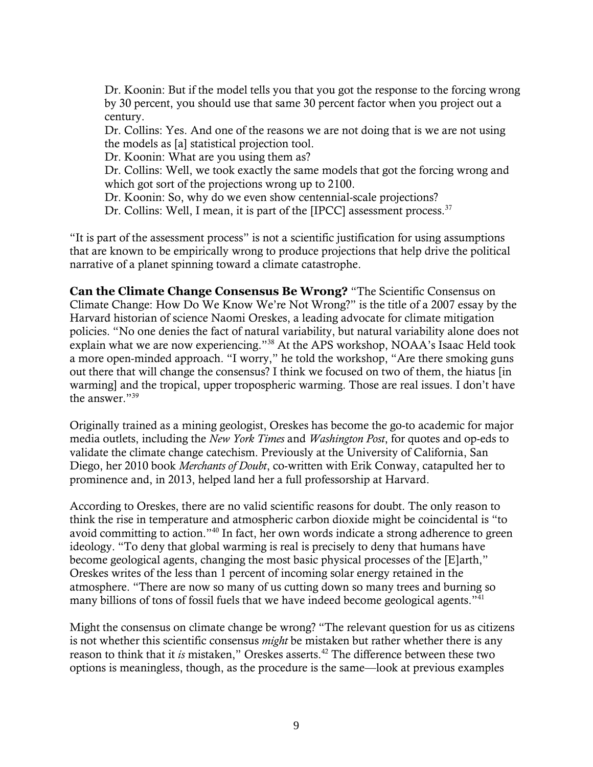Dr. Koonin: But if the model tells you that you got the response to the forcing wrong by 30 percent, you should use that same 30 percent factor when you project out a century.

Dr. Collins: Yes. And one of the reasons we are not doing that is we are not using the models as [a] statistical projection tool.

Dr. Koonin: What are you using them as?

Dr. Collins: Well, we took exactly the same models that got the forcing wrong and which got sort of the projections wrong up to 2100.

Dr. Koonin: So, why do we even show centennial-scale projections?

Dr. Collins: Well, I mean, it is part of the [IPCC] assessment process.<sup>37</sup>

"It is part of the assessment process" is not a scientific justification for using assumptions that are known to be empirically wrong to produce projections that help drive the political narrative of a planet spinning toward a climate catastrophe.

**Can the Climate Change Consensus Be Wrong?** "The Scientific Consensus on Climate Change: How Do We Know We're Not Wrong?" is the title of a 2007 essay by the Harvard historian of science Naomi Oreskes, a leading advocate for climate mitigation policies. "No one denies the fact of natural variability, but natural variability alone does not explain what we are now experiencing."<sup>38</sup> At the APS workshop, NOAA's Isaac Held took a more open-minded approach. "I worry," he told the workshop, "Are there smoking guns out there that will change the consensus? I think we focused on two of them, the hiatus [in warming] and the tropical, upper tropospheric warming. Those are real issues. I don't have the answer."<sup>39</sup>

Originally trained as a mining geologist, Oreskes has become the go-to academic for major media outlets, including the *New York Times* and *Washington Post*, for quotes and op-eds to validate the climate change catechism. Previously at the University of California, San Diego, her 2010 book *Merchants of Doubt*, co-written with Erik Conway, catapulted her to prominence and, in 2013, helped land her a full professorship at Harvard.

According to Oreskes, there are no valid scientific reasons for doubt. The only reason to think the rise in temperature and atmospheric carbon dioxide might be coincidental is "to avoid committing to action."<sup>40</sup> In fact, her own words indicate a strong adherence to green ideology. "To deny that global warming is real is precisely to deny that humans have become geological agents, changing the most basic physical processes of the [E]arth," Oreskes writes of the less than 1 percent of incoming solar energy retained in the atmosphere. "There are now so many of us cutting down so many trees and burning so many billions of tons of fossil fuels that we have indeed become geological agents."<sup>41</sup>

Might the consensus on climate change be wrong? "The relevant question for us as citizens is not whether this scientific consensus *might* be mistaken but rather whether there is any reason to think that it *is* mistaken," Oreskes asserts.<sup>42</sup> The difference between these two options is meaningless, though, as the procedure is the same—look at previous examples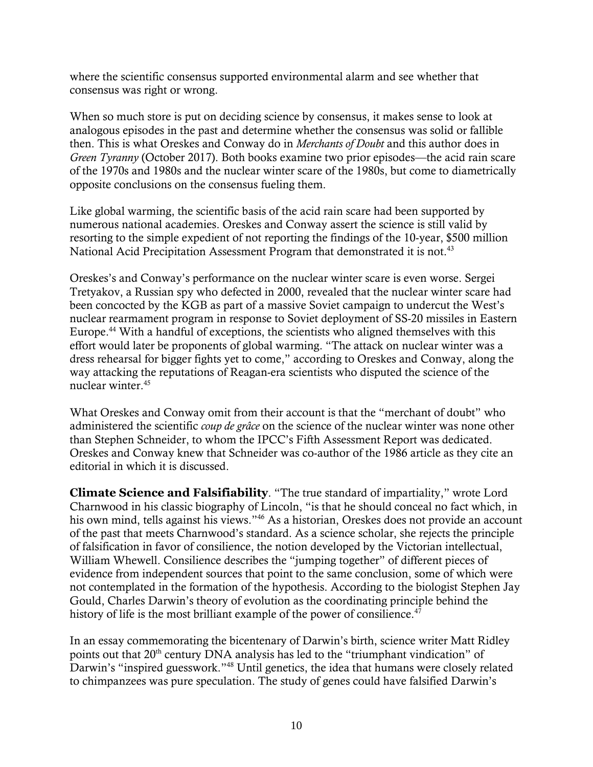where the scientific consensus supported environmental alarm and see whether that consensus was right or wrong.

When so much store is put on deciding science by consensus, it makes sense to look at analogous episodes in the past and determine whether the consensus was solid or fallible then. This is what Oreskes and Conway do in *Merchants of Doubt* and this author does in *Green Tyranny* (October 2017). Both books examine two prior episodes—the acid rain scare of the 1970s and 1980s and the nuclear winter scare of the 1980s, but come to diametrically opposite conclusions on the consensus fueling them.

Like global warming, the scientific basis of the acid rain scare had been supported by numerous national academies. Oreskes and Conway assert the science is still valid by resorting to the simple expedient of not reporting the findings of the 10-year, \$500 million National Acid Precipitation Assessment Program that demonstrated it is not.<sup>43</sup>

Oreskes's and Conway's performance on the nuclear winter scare is even worse. Sergei Tretyakov, a Russian spy who defected in 2000, revealed that the nuclear winter scare had been concocted by the KGB as part of a massive Soviet campaign to undercut the West's nuclear rearmament program in response to Soviet deployment of SS-20 missiles in Eastern Europe.<sup>44</sup> With a handful of exceptions, the scientists who aligned themselves with this effort would later be proponents of global warming. "The attack on nuclear winter was a dress rehearsal for bigger fights yet to come," according to Oreskes and Conway, along the way attacking the reputations of Reagan-era scientists who disputed the science of the nuclear winter.<sup>45</sup>

What Oreskes and Conway omit from their account is that the "merchant of doubt" who administered the scientific *coup de grâce* on the science of the nuclear winter was none other than Stephen Schneider, to whom the IPCC's Fifth Assessment Report was dedicated. Oreskes and Conway knew that Schneider was co-author of the 1986 article as they cite an editorial in which it is discussed.

**Climate Science and Falsifiability**. "The true standard of impartiality," wrote Lord Charnwood in his classic biography of Lincoln, "is that he should conceal no fact which, in his own mind, tells against his views."<sup>46</sup> As a historian, Oreskes does not provide an account of the past that meets Charnwood's standard. As a science scholar, she rejects the principle of falsification in favor of consilience, the notion developed by the Victorian intellectual, William Whewell. Consilience describes the "jumping together" of different pieces of evidence from independent sources that point to the same conclusion, some of which were not contemplated in the formation of the hypothesis. According to the biologist Stephen Jay Gould, Charles Darwin's theory of evolution as the coordinating principle behind the history of life is the most brilliant example of the power of consilience.<sup>47</sup>

In an essay commemorating the bicentenary of Darwin's birth, science writer Matt Ridley points out that 20<sup>th</sup> century DNA analysis has led to the "triumphant vindication" of Darwin's "inspired guesswork."<sup>48</sup> Until genetics, the idea that humans were closely related to chimpanzees was pure speculation. The study of genes could have falsified Darwin's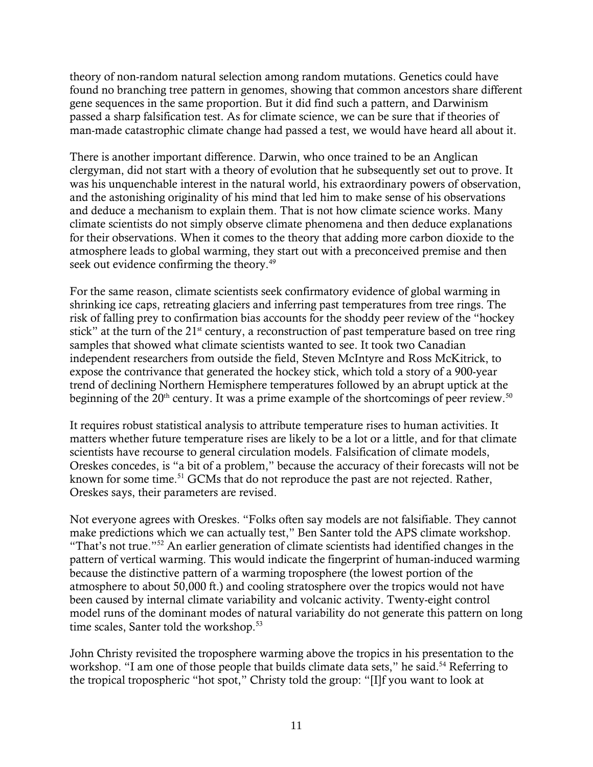theory of non-random natural selection among random mutations. Genetics could have found no branching tree pattern in genomes, showing that common ancestors share different gene sequences in the same proportion. But it did find such a pattern, and Darwinism passed a sharp falsification test. As for climate science, we can be sure that if theories of man-made catastrophic climate change had passed a test, we would have heard all about it.

There is another important difference. Darwin, who once trained to be an Anglican clergyman, did not start with a theory of evolution that he subsequently set out to prove. It was his unquenchable interest in the natural world, his extraordinary powers of observation, and the astonishing originality of his mind that led him to make sense of his observations and deduce a mechanism to explain them. That is not how climate science works. Many climate scientists do not simply observe climate phenomena and then deduce explanations for their observations. When it comes to the theory that adding more carbon dioxide to the atmosphere leads to global warming, they start out with a preconceived premise and then seek out evidence confirming the theory.<sup>49</sup>

For the same reason, climate scientists seek confirmatory evidence of global warming in shrinking ice caps, retreating glaciers and inferring past temperatures from tree rings. The risk of falling prey to confirmation bias accounts for the shoddy peer review of the "hockey stick" at the turn of the  $21<sup>st</sup>$  century, a reconstruction of past temperature based on tree ring samples that showed what climate scientists wanted to see. It took two Canadian independent researchers from outside the field, Steven McIntyre and Ross McKitrick, to expose the contrivance that generated the hockey stick, which told a story of a 900-year trend of declining Northern Hemisphere temperatures followed by an abrupt uptick at the beginning of the  $20<sup>th</sup>$  century. It was a prime example of the shortcomings of peer review.<sup>50</sup>

It requires robust statistical analysis to attribute temperature rises to human activities. It matters whether future temperature rises are likely to be a lot or a little, and for that climate scientists have recourse to general circulation models. Falsification of climate models, Oreskes concedes, is "a bit of a problem," because the accuracy of their forecasts will not be known for some time.<sup>51</sup> GCMs that do not reproduce the past are not rejected. Rather, Oreskes says, their parameters are revised.

Not everyone agrees with Oreskes. "Folks often say models are not falsifiable. They cannot make predictions which we can actually test," Ben Santer told the APS climate workshop. "That's not true."<sup>52</sup> An earlier generation of climate scientists had identified changes in the pattern of vertical warming. This would indicate the fingerprint of human-induced warming because the distinctive pattern of a warming troposphere (the lowest portion of the atmosphere to about 50,000 ft.) and cooling stratosphere over the tropics would not have been caused by internal climate variability and volcanic activity. Twenty-eight control model runs of the dominant modes of natural variability do not generate this pattern on long time scales, Santer told the workshop.<sup>53</sup>

John Christy revisited the troposphere warming above the tropics in his presentation to the workshop. "I am one of those people that builds climate data sets," he said.<sup>54</sup> Referring to the tropical tropospheric "hot spot," Christy told the group: "[I]f you want to look at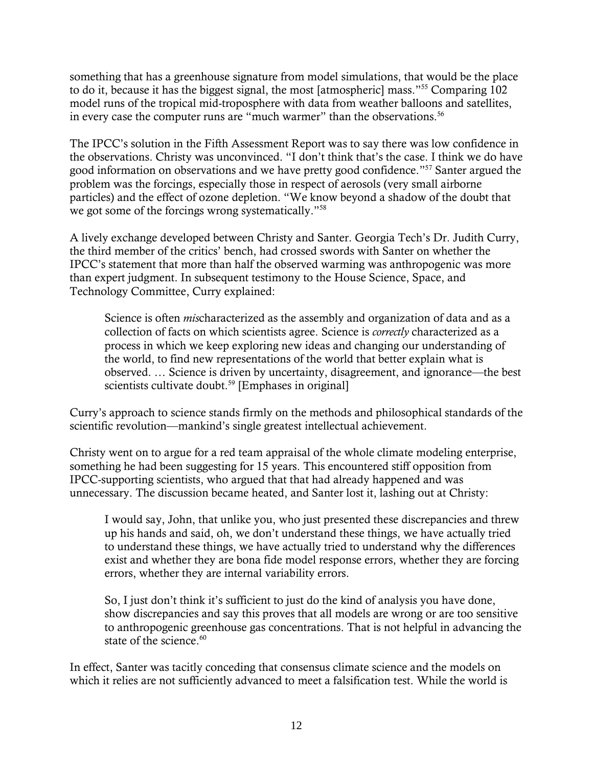something that has a greenhouse signature from model simulations, that would be the place to do it, because it has the biggest signal, the most [atmospheric] mass."<sup>55</sup> Comparing 102 model runs of the tropical mid-troposphere with data from weather balloons and satellites, in every case the computer runs are "much warmer" than the observations.<sup>56</sup>

The IPCC's solution in the Fifth Assessment Report was to say there was low confidence in the observations. Christy was unconvinced. "I don't think that's the case. I think we do have good information on observations and we have pretty good confidence."<sup>57</sup> Santer argued the problem was the forcings, especially those in respect of aerosols (very small airborne particles) and the effect of ozone depletion. "We know beyond a shadow of the doubt that we got some of the forcings wrong systematically."<sup>58</sup>

A lively exchange developed between Christy and Santer. Georgia Tech's Dr. Judith Curry, the third member of the critics' bench, had crossed swords with Santer on whether the IPCC's statement that more than half the observed warming was anthropogenic was more than expert judgment. In subsequent testimony to the House Science, Space, and Technology Committee, Curry explained:

Science is often *mis*characterized as the assembly and organization of data and as a collection of facts on which scientists agree. Science is *correctly* characterized as a process in which we keep exploring new ideas and changing our understanding of the world, to find new representations of the world that better explain what is observed. … Science is driven by uncertainty, disagreement, and ignorance—the best scientists cultivate doubt.<sup>59</sup> [Emphases in original]

Curry's approach to science stands firmly on the methods and philosophical standards of the scientific revolution—mankind's single greatest intellectual achievement.

Christy went on to argue for a red team appraisal of the whole climate modeling enterprise, something he had been suggesting for 15 years. This encountered stiff opposition from IPCC-supporting scientists, who argued that that had already happened and was unnecessary. The discussion became heated, and Santer lost it, lashing out at Christy:

I would say, John, that unlike you, who just presented these discrepancies and threw up his hands and said, oh, we don't understand these things, we have actually tried to understand these things, we have actually tried to understand why the differences exist and whether they are bona fide model response errors, whether they are forcing errors, whether they are internal variability errors.

So, I just don't think it's sufficient to just do the kind of analysis you have done, show discrepancies and say this proves that all models are wrong or are too sensitive to anthropogenic greenhouse gas concentrations. That is not helpful in advancing the state of the science. $60$ 

In effect, Santer was tacitly conceding that consensus climate science and the models on which it relies are not sufficiently advanced to meet a falsification test. While the world is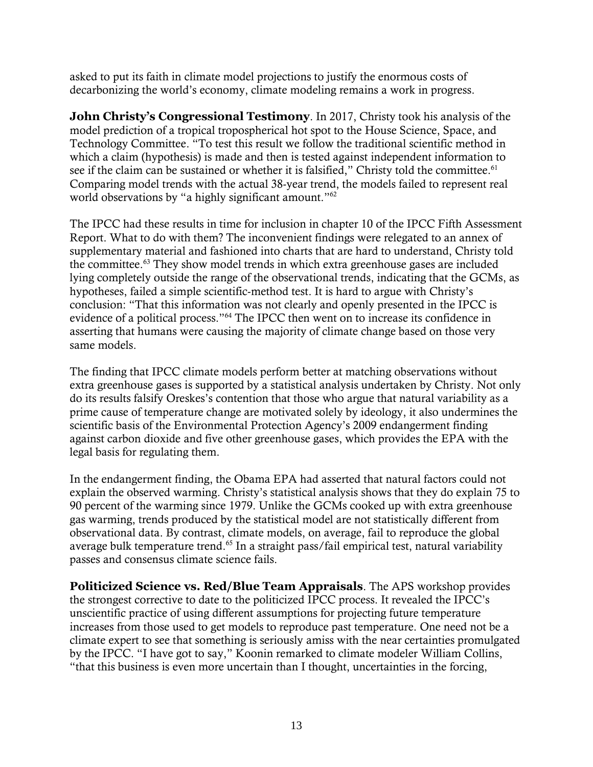asked to put its faith in climate model projections to justify the enormous costs of decarbonizing the world's economy, climate modeling remains a work in progress.

**John Christy's Congressional Testimony**. In 2017, Christy took his analysis of the model prediction of a tropical tropospherical hot spot to the House Science, Space, and Technology Committee. "To test this result we follow the traditional scientific method in which a claim (hypothesis) is made and then is tested against independent information to see if the claim can be sustained or whether it is falsified," Christy told the committee.<sup>61</sup> Comparing model trends with the actual 38-year trend, the models failed to represent real world observations by "a highly significant amount."<sup>62</sup>

The IPCC had these results in time for inclusion in chapter 10 of the IPCC Fifth Assessment Report. What to do with them? The inconvenient findings were relegated to an annex of supplementary material and fashioned into charts that are hard to understand, Christy told the committee.<sup>63</sup> They show model trends in which extra greenhouse gases are included lying completely outside the range of the observational trends, indicating that the GCMs, as hypotheses, failed a simple scientific-method test. It is hard to argue with Christy's conclusion: "That this information was not clearly and openly presented in the IPCC is evidence of a political process."<sup>64</sup> The IPCC then went on to increase its confidence in asserting that humans were causing the majority of climate change based on those very same models.

The finding that IPCC climate models perform better at matching observations without extra greenhouse gases is supported by a statistical analysis undertaken by Christy. Not only do its results falsify Oreskes's contention that those who argue that natural variability as a prime cause of temperature change are motivated solely by ideology, it also undermines the scientific basis of the Environmental Protection Agency's 2009 endangerment finding against carbon dioxide and five other greenhouse gases, which provides the EPA with the legal basis for regulating them.

In the endangerment finding, the Obama EPA had asserted that natural factors could not explain the observed warming. Christy's statistical analysis shows that they do explain 75 to 90 percent of the warming since 1979. Unlike the GCMs cooked up with extra greenhouse gas warming, trends produced by the statistical model are not statistically different from observational data. By contrast, climate models, on average, fail to reproduce the global average bulk temperature trend.<sup>65</sup> In a straight pass/fail empirical test, natural variability passes and consensus climate science fails.

**Politicized Science vs. Red/Blue Team Appraisals**. The APS workshop provides the strongest corrective to date to the politicized IPCC process. It revealed the IPCC's unscientific practice of using different assumptions for projecting future temperature increases from those used to get models to reproduce past temperature. One need not be a climate expert to see that something is seriously amiss with the near certainties promulgated by the IPCC. "I have got to say," Koonin remarked to climate modeler William Collins, "that this business is even more uncertain than I thought, uncertainties in the forcing,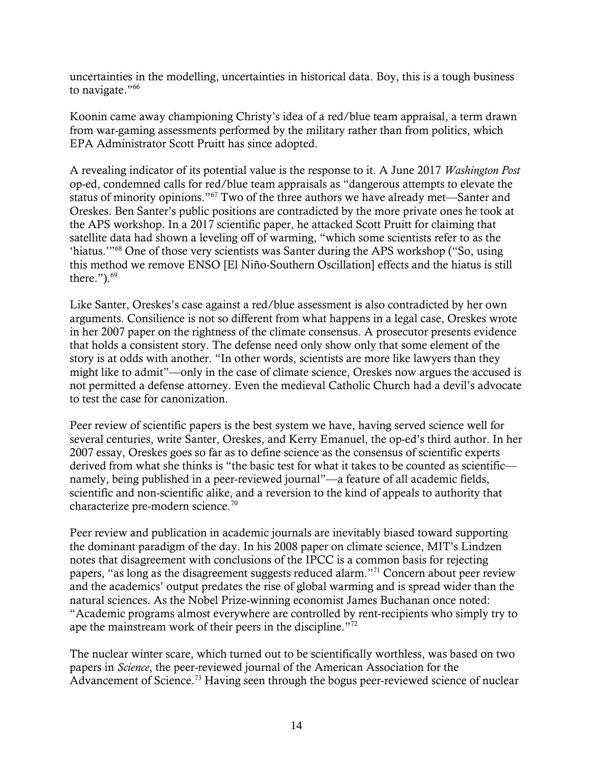uncertainties in the modelling, uncertainties in historical data. Boy, this is a tough business to navigate."<sup>66</sup>

Koonin came away championing Christy's idea of a red/blue team appraisal, a term drawn from war-gaming assessments performed by the military rather than from politics, which EPA Administrator Scott Pruitt has since adopted.

A revealing indicator of its potential value is the response to it. A June 2017 *Washington Post* op-ed, condemned calls for red/blue team appraisals as "dangerous attempts to elevate the status of minority opinions."<sup>67</sup> Two of the three authors we have already met—Santer and Oreskes. Ben Santer's public positions are contradicted by the more private ones he took at the APS workshop. In a 2017 scientific paper, he attacked Scott Pruitt for claiming that satellite data had shown a leveling off of warming, "which some scientists refer to as the 'hiatus.'"<sup>68</sup> One of those very scientists was Santer during the APS workshop ("So, using this method we remove ENSO [El Niño-Southern Oscillation] effects and the hiatus is still there.").<sup>69</sup>

Like Santer, Oreskes's case against a red/blue assessment is also contradicted by her own arguments. Consilience is not so different from what happens in a legal case, Oreskes wrote in her 2007 paper on the rightness of the climate consensus. A prosecutor presents evidence that holds a consistent story. The defense need only show only that some element of the story is at odds with another. "In other words, scientists are more like lawyers than they might like to admit"—only in the case of climate science, Oreskes now argues the accused is not permitted a defense attorney. Even the medieval Catholic Church had a devil's advocate to test the case for canonization.

Peer review of scientific papers is the best system we have, having served science well for several centuries, write Santer, Oreskes, and Kerry Emanuel, the op-ed's third author. In her 2007 essay, Oreskes goes so far as to define science as the consensus of scientific experts derived from what she thinks is "the basic test for what it takes to be counted as scientific namely, being published in a peer-reviewed journal"—a feature of all academic fields, scientific and non-scientific alike, and a reversion to the kind of appeals to authority that characterize pre-modern science.<sup>70</sup>

Peer review and publication in academic journals are inevitably biased toward supporting the dominant paradigm of the day. In his 2008 paper on climate science, MIT's Lindzen notes that disagreement with conclusions of the IPCC is a common basis for rejecting papers, "as long as the disagreement suggests reduced alarm."<sup>71</sup> Concern about peer review and the academics' output predates the rise of global warming and is spread wider than the natural sciences. As the Nobel Prize-winning economist James Buchanan once noted: "Academic programs almost everywhere are controlled by rent-recipients who simply try to ape the mainstream work of their peers in the discipline."<sup>72</sup>

The nuclear winter scare, which turned out to be scientifically worthless, was based on two papers in *Science*, the peer-reviewed journal of the American Association for the Advancement of Science.<sup>73</sup> Having seen through the bogus peer-reviewed science of nuclear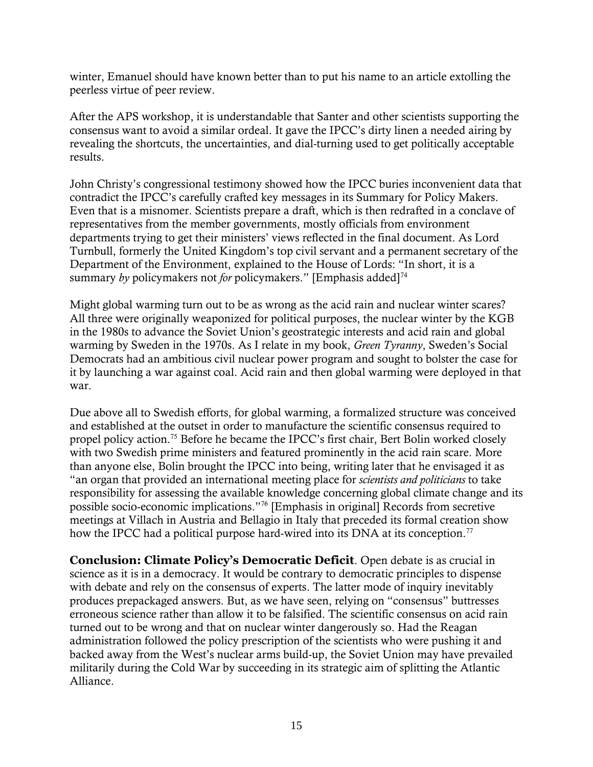winter, Emanuel should have known better than to put his name to an article extolling the peerless virtue of peer review.

After the APS workshop, it is understandable that Santer and other scientists supporting the consensus want to avoid a similar ordeal. It gave the IPCC's dirty linen a needed airing by revealing the shortcuts, the uncertainties, and dial-turning used to get politically acceptable results.

John Christy's congressional testimony showed how the IPCC buries inconvenient data that contradict the IPCC's carefully crafted key messages in its Summary for Policy Makers. Even that is a misnomer. Scientists prepare a draft, which is then redrafted in a conclave of representatives from the member governments, mostly officials from environment departments trying to get their ministers' views reflected in the final document. As Lord Turnbull, formerly the United Kingdom's top civil servant and a permanent secretary of the Department of the Environment, explained to the House of Lords: "In short, it is a summary *by* policymakers not *for* policymakers." [Emphasis added]<sup>74</sup>

Might global warming turn out to be as wrong as the acid rain and nuclear winter scares? All three were originally weaponized for political purposes, the nuclear winter by the KGB in the 1980s to advance the Soviet Union's geostrategic interests and acid rain and global warming by Sweden in the 1970s. As I relate in my book, *Green Tyranny*, Sweden's Social Democrats had an ambitious civil nuclear power program and sought to bolster the case for it by launching a war against coal. Acid rain and then global warming were deployed in that war.

Due above all to Swedish efforts, for global warming, a formalized structure was conceived and established at the outset in order to manufacture the scientific consensus required to propel policy action.<sup>75</sup> Before he became the IPCC's first chair, Bert Bolin worked closely with two Swedish prime ministers and featured prominently in the acid rain scare. More than anyone else, Bolin brought the IPCC into being, writing later that he envisaged it as "an organ that provided an international meeting place for *scientists and politicians* to take responsibility for assessing the available knowledge concerning global climate change and its possible socio-economic implications."<sup>76</sup> [Emphasis in original] Records from secretive meetings at Villach in Austria and Bellagio in Italy that preceded its formal creation show how the IPCC had a political purpose hard-wired into its DNA at its conception.<sup>77</sup>

**Conclusion: Climate Policy's Democratic Deficit**. Open debate is as crucial in science as it is in a democracy. It would be contrary to democratic principles to dispense with debate and rely on the consensus of experts. The latter mode of inquiry inevitably produces prepackaged answers. But, as we have seen, relying on "consensus" buttresses erroneous science rather than allow it to be falsified. The scientific consensus on acid rain turned out to be wrong and that on nuclear winter dangerously so. Had the Reagan administration followed the policy prescription of the scientists who were pushing it and backed away from the West's nuclear arms build-up, the Soviet Union may have prevailed militarily during the Cold War by succeeding in its strategic aim of splitting the Atlantic Alliance.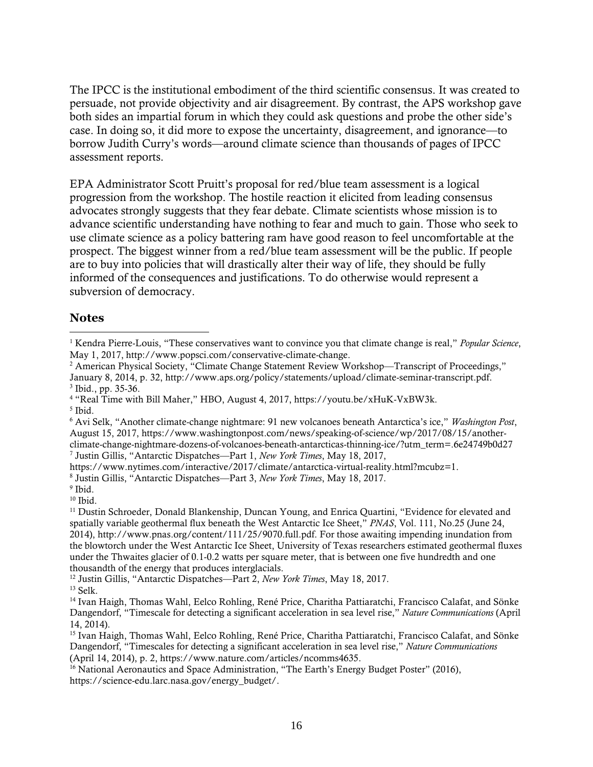The IPCC is the institutional embodiment of the third scientific consensus. It was created to persuade, not provide objectivity and air disagreement. By contrast, the APS workshop gave both sides an impartial forum in which they could ask questions and probe the other side's case. In doing so, it did more to expose the uncertainty, disagreement, and ignorance—to borrow Judith Curry's words—around climate science than thousands of pages of IPCC assessment reports.

EPA Administrator Scott Pruitt's proposal for red/blue team assessment is a logical progression from the workshop. The hostile reaction it elicited from leading consensus advocates strongly suggests that they fear debate. Climate scientists whose mission is to advance scientific understanding have nothing to fear and much to gain. Those who seek to use climate science as a policy battering ram have good reason to feel uncomfortable at the prospect. The biggest winner from a red/blue team assessment will be the public. If people are to buy into policies that will drastically alter their way of life, they should be fully informed of the consequences and justifications. To do otherwise would represent a subversion of democracy.

## **Notes**

 $\overline{a}$ 

<sup>2</sup> American Physical Society, "Climate Change Statement Review Workshop—Transcript of Proceedings," January 8, 2014, p. 32, http://www.aps.org/policy/statements/upload/climate-seminar-transcript.pdf.

7 Justin Gillis, "Antarctic Dispatches—Part 1, *New York Times*, May 18, 2017,

<sup>1</sup> Kendra Pierre-Louis, "These conservatives want to convince you that climate change is real," *Popular Science*, May 1, 2017, http://www.popsci.com/conservative-climate-change.

<sup>3</sup> Ibid., pp. 35-36.

<sup>4</sup> "Real Time with Bill Maher," HBO, August 4, 2017, https://youtu.be/xHuK-VxBW3k.

<sup>5</sup> Ibid.

<sup>6</sup> Avi Selk, "Another climate-change nightmare: 91 new volcanoes beneath Antarctica's ice," *Washington Post*, August 15, 2017, https://www.washingtonpost.com/news/speaking-of-science/wp/2017/08/15/anotherclimate-change-nightmare-dozens-of-volcanoes-beneath-antarcticas-thinning-ice/?utm\_term=.6e24749b0d27

https://www.nytimes.com/interactive/2017/climate/antarctica-virtual-reality.html?mcubz=1.

<sup>8</sup> Justin Gillis, "Antarctic Dispatches—Part 3, *New York Times*, May 18, 2017.

<sup>&</sup>lt;sup>9</sup> Ibid.

 $10$  Ibid.

<sup>&</sup>lt;sup>11</sup> Dustin Schroeder, Donald Blankenship, Duncan Young, and Enrica Quartini, "Evidence for elevated and spatially variable geothermal flux beneath the West Antarctic Ice Sheet," *PNAS*, Vol. 111, No.25 (June 24, 2014), http://www.pnas.org/content/111/25/9070.full.pdf. For those awaiting impending inundation from the blowtorch under the West Antarctic Ice Sheet, University of Texas researchers estimated geothermal fluxes under the Thwaites glacier of 0.1-0.2 watts per square meter, that is between one five hundredth and one thousandth of the energy that produces interglacials.

<sup>12</sup> Justin Gillis, "Antarctic Dispatches—Part 2, *New York Times*, May 18, 2017.

 $13$  Selk.

<sup>&</sup>lt;sup>14</sup> Ivan Haigh, Thomas Wahl, Eelco Rohling, René Price, Charitha Pattiaratchi, Francisco Calafat, and Sönke Dangendorf, "Timescale for detecting a significant acceleration in sea level rise," *Nature Communications* (April 14, 2014).

<sup>15</sup> Ivan Haigh, Thomas Wahl, Eelco Rohling, René Price, Charitha Pattiaratchi, Francisco Calafat, and Sönke Dangendorf, "Timescales for detecting a significant acceleration in sea level rise," *Nature Communications* (April 14, 2014), p. 2, https://www.nature.com/articles/ncomms4635.

<sup>&</sup>lt;sup>16</sup> National Aeronautics and Space Administration, "The Earth's Energy Budget Poster" (2016), https://science-edu.larc.nasa.gov/energy\_budget/.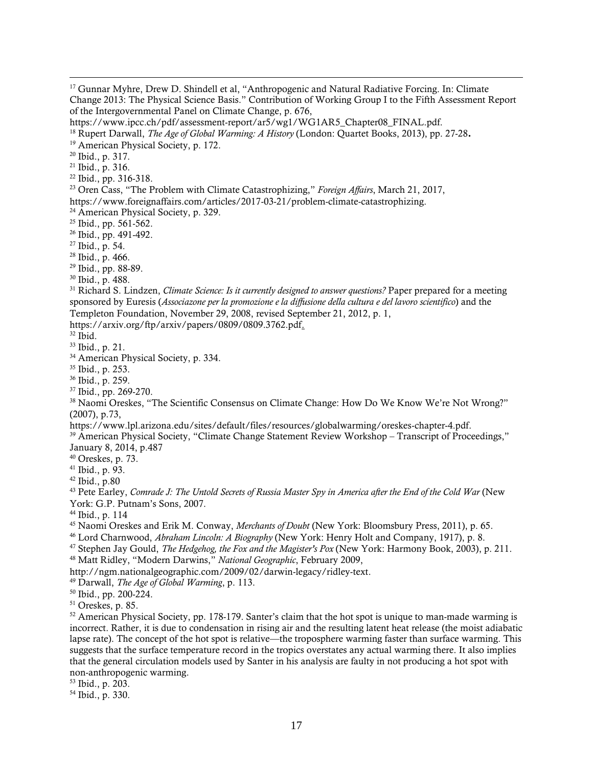$\overline{a}$ 

<sup>22</sup> Ibid., pp. 316-318.

https://www.foreignaffairs.com/articles/2017-03-21/problem-climate-catastrophizing.

<sup>26</sup> Ibid., pp. 491-492.

<sup>27</sup> Ibid., p. 54.

- <sup>28</sup> Ibid., p. 466.
- <sup>29</sup> Ibid., pp. 88-89.
- <sup>30</sup> Ibid., p. 488.

<sup>31</sup> Richard S. Lindzen, *Climate Science: Is it currently designed to answer questions?* Paper prepared for a meeting sponsored by Euresis (*Associazone per la promozione e la diffusione della cultura e del lavoro scientifico*) and the Templeton Foundation, November 29, 2008, revised September 21, 2012, p. 1,

https://arxiv.org/ftp/arxiv/papers/0809/0809.3762.pdf.

 $32$  Ibid.

<sup>33</sup> Ibid., p. 21.

<sup>34</sup> American Physical Society, p. 334.

<sup>35</sup> Ibid., p. 253.

<sup>36</sup> Ibid., p. 259.

<sup>37</sup> Ibid., pp. 269-270.

<sup>38</sup> Naomi Oreskes, "The Scientific Consensus on Climate Change: How Do We Know We're Not Wrong?" (2007), p.73,

https://www.lpl.arizona.edu/sites/default/files/resources/globalwarming/oreskes-chapter-4.pdf.

<sup>39</sup> American Physical Society, "Climate Change Statement Review Workshop – Transcript of Proceedings," January 8, 2014, p.487

 $40$  Oreskes, p. 73.

<sup>41</sup> Ibid., p. 93.

<sup>42</sup> Ibid., p.80

<sup>43</sup> Pete Earley, Comrade J: The Untold Secrets of Russia Master Spy in America after the End of the Cold War (New York: G.P. Putnam's Sons, 2007.

<sup>44</sup> Ibid., p. 114

<sup>45</sup> Naomi Oreskes and Erik M. Conway, *Merchants of Doubt* (New York: Bloomsbury Press, 2011), p. 65.

<sup>46</sup> Lord Charnwood, *Abraham Lincoln: A Biography* (New York: Henry Holt and Company, 1917), p. 8.

<sup>47</sup> Stephen Jay Gould, *The Hedgehog, the Fox and the Magister's Pox* (New York: Harmony Book, 2003), p. 211.

<sup>48</sup> Matt Ridley, "Modern Darwins," *National Geographic*, February 2009,

http://ngm.nationalgeographic.com/2009/02/darwin-legacy/ridley-text.

<sup>49</sup> Darwall, *The Age of Global Warming*, p. 113.

<sup>50</sup> Ibid., pp. 200-224.

<sup>51</sup> Oreskes, p. 85.

<sup>52</sup> American Physical Society, pp. 178-179. Santer's claim that the hot spot is unique to man-made warming is incorrect. Rather, it is due to condensation in rising air and the resulting latent heat release (the moist adiabatic lapse rate). The concept of the hot spot is relative—the troposphere warming faster than surface warming. This suggests that the surface temperature record in the tropics overstates any actual warming there. It also implies that the general circulation models used by Santer in his analysis are faulty in not producing a hot spot with non-anthropogenic warming.

<sup>53</sup> Ibid., p. 203.

<sup>54</sup> Ibid., p. 330.

<sup>&</sup>lt;sup>17</sup> Gunnar Myhre, Drew D. Shindell et al, "Anthropogenic and Natural Radiative Forcing. In: Climate Change 2013: The Physical Science Basis." Contribution of Working Group I to the Fifth Assessment Report of the Intergovernmental Panel on Climate Change, p. 676,

https://www.ipcc.ch/pdf/assessment-report/ar5/wg1/WG1AR5\_Chapter08\_FINAL.pdf.

<sup>18</sup> Rupert Darwall, *The Age of Global Warming: A History* (London: Quartet Books, 2013), pp. 27-28.

<sup>&</sup>lt;sup>19</sup> American Physical Society, p. 172.

<sup>20</sup> Ibid., p. 317.

<sup>21</sup> Ibid., p. 316.

<sup>23</sup> Oren Cass, "The Problem with Climate Catastrophizing," *Foreign Affairs*, March 21, 2017,

<sup>&</sup>lt;sup>24</sup> American Physical Society, p. 329.

<sup>&</sup>lt;sup>25</sup> Ibid., pp. 561-562.